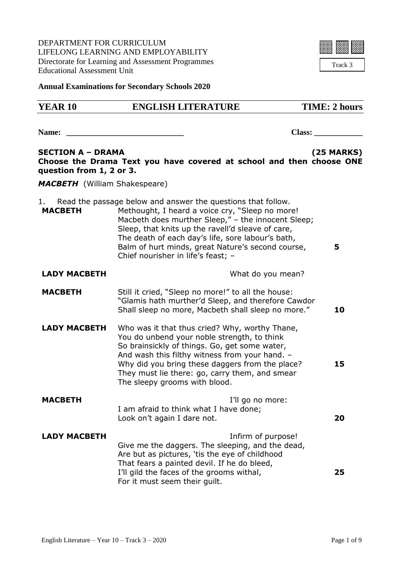DEPARTMENT FOR CURRICULUM LIFELONG LEARNING AND EMPLOYABILITY Directorate for Learning and Assessment Programmes Educational Assessment Unit



**Annual Examinations for Secondary Schools 2020**

| <b>YEAR 10</b>                                       | <b>ENGLISH LITERATURE</b>                                                                                                                                                                                                                                                                                                                                                  | <b>TIME: 2 hours</b> |
|------------------------------------------------------|----------------------------------------------------------------------------------------------------------------------------------------------------------------------------------------------------------------------------------------------------------------------------------------------------------------------------------------------------------------------------|----------------------|
| Name:                                                |                                                                                                                                                                                                                                                                                                                                                                            | Class:               |
| <b>SECTION A - DRAMA</b><br>question from 1, 2 or 3. | Choose the Drama Text you have covered at school and then choose ONE                                                                                                                                                                                                                                                                                                       | <b>(25 MARKS)</b>    |
| <b>MACBETH</b> (William Shakespeare)                 |                                                                                                                                                                                                                                                                                                                                                                            |                      |
| <b>MACBETH</b>                                       | Read the passage below and answer the questions that follow.<br>Methought, I heard a voice cry, "Sleep no more!<br>Macbeth does murther Sleep," - the innocent Sleep;<br>Sleep, that knits up the ravell'd sleave of care,<br>The death of each day's life, sore labour's bath,<br>Balm of hurt minds, great Nature's second course,<br>Chief nourisher in life's feast; - | 5                    |
| <b>LADY MACBETH</b>                                  | What do you mean?                                                                                                                                                                                                                                                                                                                                                          |                      |
| <b>MACBETH</b>                                       | Still it cried, "Sleep no more!" to all the house:<br>"Glamis hath murther'd Sleep, and therefore Cawdor<br>Shall sleep no more, Macbeth shall sleep no more."                                                                                                                                                                                                             | 10                   |
| <b>LADY MACBETH</b>                                  | Who was it that thus cried? Why, worthy Thane,<br>You do unbend your noble strength, to think<br>So brainsickly of things. Go, get some water,<br>And wash this filthy witness from your hand. -<br>Why did you bring these daggers from the place?<br>They must lie there: go, carry them, and smear<br>The sleepy grooms with blood.                                     | 15                   |
| <b>MACBETH</b>                                       | I'll go no more:<br>I am afraid to think what I have done;<br>Look on't again I dare not.                                                                                                                                                                                                                                                                                  | 20                   |
| <b>LADY MACBETH</b>                                  | Infirm of purpose!<br>Give me the daggers. The sleeping, and the dead,<br>Are but as pictures, 'tis the eye of childhood<br>That fears a painted devil. If he do bleed,<br>I'll gild the faces of the grooms withal,<br>For it must seem their quilt.                                                                                                                      | 25                   |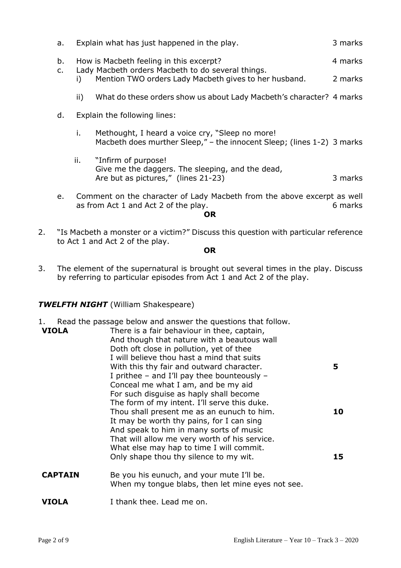| b.<br>$\mathsf{C}$ . |     | How is Macbeth feeling in this excerpt?<br>Lady Macbeth orders Macbeth to do several things. | 4 marks |
|----------------------|-----|----------------------------------------------------------------------------------------------|---------|
|                      |     | Mention TWO orders Lady Macbeth gives to her husband.                                        | 2 marks |
|                      | II) | What do these orders show us about Lady Macbeth's character? 4 marks                         |         |
|                      |     |                                                                                              |         |

a 3 Fynlain what has just happened in the play. See a 3 marks

- d. Explain the following lines:
	- i. Methought, I heard a voice cry, "Sleep no more! Macbeth does murther Sleep," – the innocent Sleep; (lines 1-2) 3 marks
	- ii. "Infirm of purpose! Give me the daggers. The sleeping, and the dead, Are but as pictures," (lines 21-23) 3 marks
- e. Comment on the character of Lady Macbeth from the above excerpt as well as from Act 1 and Act 2 of the play. The same state of the play.

**OR**

2. "Is Macbeth a monster or a victim?" Discuss this question with particular reference to Act 1 and Act 2 of the play.

**OR**

3. The element of the supernatural is brought out several times in the play. Discuss by referring to particular episodes from Act 1 and Act 2 of the play.

## *TWELFTH NIGHT* (William Shakespeare)

- 1. Read the passage below and answer the questions that follow.
- **VIOLA** There is a fair behaviour in thee, captain, And though that nature with a beautous wall Doth oft close in pollution, yet of thee I will believe thou hast a mind that suits With this thy fair and outward character. I prithee – and I'll pay thee bounteously – Conceal me what I am, and be my aid For such disguise as haply shall become The form of my intent. I'll serve this duke. Thou shall present me as an eunuch to him. It may be worth thy pains, for I can sing And speak to him in many sorts of music That will allow me very worth of his service. What else may hap to time I will commit. Only shape thou thy silence to my wit. **5 10 15**
- **CAPTAIN** Be you his eunuch, and your mute I'll be. When my tongue blabs, then let mine eyes not see.

#### **VIOLA** I thank thee. Lead me on.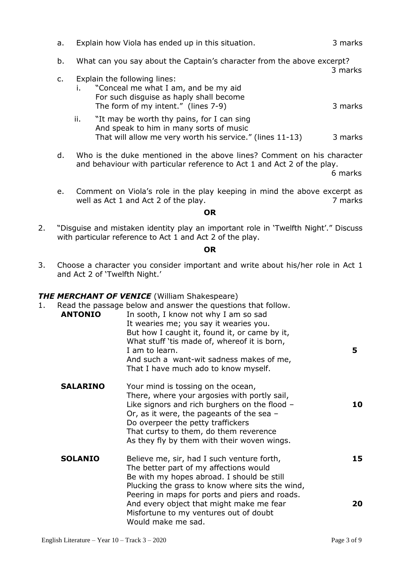| a.             |     | Explain how Viola has ended up in this situation.                                                                                                      | 3 marks |
|----------------|-----|--------------------------------------------------------------------------------------------------------------------------------------------------------|---------|
| b.             |     | What can you say about the Captain's character from the above excerpt?                                                                                 | 3 marks |
| $\mathsf{C}$ . |     | Explain the following lines:<br>"Conceal me what I am, and be my aid<br>For such disguise as haply shall become<br>The form of my intent." (lines 7-9) | 3 marks |
|                | ii. | "It may be worth thy pains, for I can sing<br>And speak to him in many sorts of music<br>That will allow me very worth his service." (lines 11-13)     | 3 marks |
| d.             |     | Who is the duke mentioned in the above lines? Comment on his character<br>and behaviour with particular reference to Act 1 and Act 2 of the play.      |         |

6 marks

e. Comment on Viola's role in the play keeping in mind the above excerpt as well as Act 1 and Act 2 of the play. The mass of the play and the set of the play.

#### **OR**

2. "Disguise and mistaken identity play an important role in 'Twelfth Night'." Discuss with particular reference to Act 1 and Act 2 of the play.

#### **OR**

3. Choose a character you consider important and write about his/her role in Act 1 and Act 2 of 'Twelfth Night.'

#### *THE MERCHANT OF VENICE* (William Shakespeare)

| 1. | <b>ANTONIO</b>  | Read the passage below and answer the questions that follow.<br>In sooth, I know not why I am so sad<br>It wearies me; you say it wearies you.<br>But how I caught it, found it, or came by it,<br>What stuff 'tis made of, whereof it is born,<br>I am to learn.<br>And such a want-wit sadness makes of me,<br>That I have much ado to know myself. | 5        |
|----|-----------------|-------------------------------------------------------------------------------------------------------------------------------------------------------------------------------------------------------------------------------------------------------------------------------------------------------------------------------------------------------|----------|
|    | <b>SALARINO</b> | Your mind is tossing on the ocean,<br>There, where your argosies with portly sail,<br>Like signors and rich burghers on the flood $-$<br>Or, as it were, the pageants of the sea $-$<br>Do overpeer the petty traffickers<br>That curtsy to them, do them reverence<br>As they fly by them with their woven wings.                                    | 10       |
|    | <b>SOLANIO</b>  | Believe me, sir, had I such venture forth,<br>The better part of my affections would<br>Be with my hopes abroad. I should be still<br>Plucking the grass to know where sits the wind,<br>Peering in maps for ports and piers and roads.<br>And every object that might make me fear<br>Misfortune to my ventures out of doubt<br>Would make me sad.   | 15<br>20 |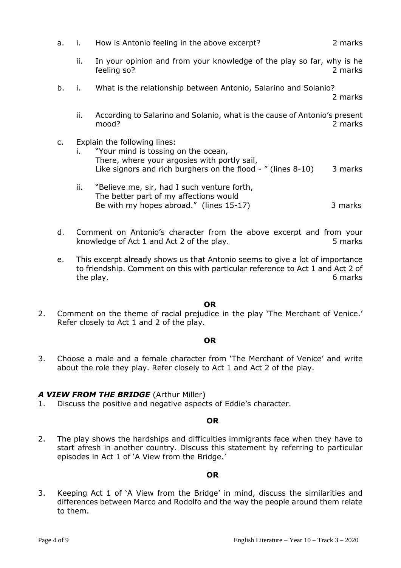|  | How is Antonio feeling in the above excerpt? | 2 marks |
|--|----------------------------------------------|---------|

- ii. In your opinion and from your knowledge of the play so far, why is he feeling so? 2 marks
- b. i. What is the relationship between Antonio, Salarino and Solanio?

2 marks

- ii. According to Salarino and Solanio, what is the cause of Antonio's present mood? 2 marks
- c. Explain the following lines:
	- i. "Your mind is tossing on the ocean, There, where your argosies with portly sail, Like signors and rich burghers on the flood  $-$  " (lines 8-10) 3 marks
	- ii. "Believe me, sir, had I such venture forth, The better part of my affections would Be with my hopes abroad." (lines 15-17) 3 marks
- d. Comment on Antonio's character from the above excerpt and from your knowledge of Act 1 and Act 2 of the play. 5 marks
- e. This excerpt already shows us that Antonio seems to give a lot of importance to friendship. Comment on this with particular reference to Act 1 and Act 2 of the play. 6 marks

#### **OR**

2. Comment on the theme of racial prejudice in the play 'The Merchant of Venice.' Refer closely to Act 1 and 2 of the play.

#### **OR**

3. Choose a male and a female character from 'The Merchant of Venice' and write about the role they play. Refer closely to Act 1 and Act 2 of the play.

## *A VIEW FROM THE BRIDGE* (Arthur Miller)

1. Discuss the positive and negative aspects of Eddie's character.

#### **OR**

2. The play shows the hardships and difficulties immigrants face when they have to start afresh in another country. Discuss this statement by referring to particular episodes in Act 1 of 'A View from the Bridge.'

#### **OR**

3. Keeping Act 1 of 'A View from the Bridge' in mind, discuss the similarities and differences between Marco and Rodolfo and the way the people around them relate to them.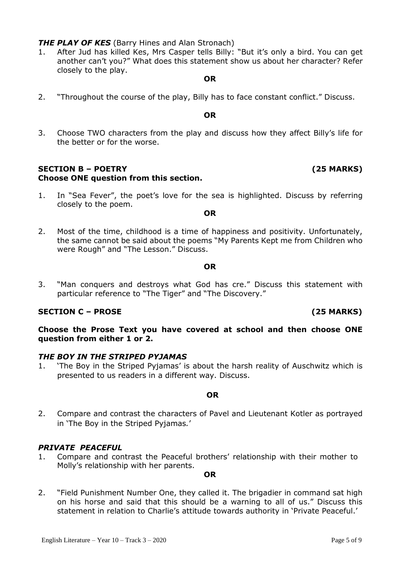**THE PLAY OF KES** (Barry Hines and Alan Stronach)

1. After Jud has killed Kes, Mrs Casper tells Billy: "But it's only a bird. You can get another can't you?" What does this statement show us about her character? Refer closely to the play.

#### **OR**

2. "Throughout the course of the play, Billy has to face constant conflict." Discuss.

#### **OR**

3. Choose TWO characters from the play and discuss how they affect Billy's life for the better or for the worse.

#### **SECTION B – POETRY (25 MARKS) Choose ONE question from this section.**

1. In "Sea Fever", the poet's love for the sea is highlighted. Discuss by referring closely to the poem.

#### **OR**

2. Most of the time, childhood is a time of happiness and positivity. Unfortunately, the same cannot be said about the poems "My Parents Kept me from Children who were Rough" and "The Lesson." Discuss.

#### **OR**

3. "Man conquers and destroys what God has cre." Discuss this statement with particular reference to "The Tiger" and "The Discovery."

## **SECTION C – PROSE (25 MARKS)**

## **Choose the Prose Text you have covered at school and then choose ONE question from either 1 or 2.**

## *THE BOY IN THE STRIPED PYJAMAS*

1. 'The Boy in the Striped Pyjamas' is about the harsh reality of Auschwitz which is presented to us readers in a different way. Discuss.

#### **OR**

2. Compare and contrast the characters of Pavel and Lieutenant Kotler as portrayed in 'The Boy in the Striped Pyjamas*.*'

## *PRIVATE PEACEFUL*

1. Compare and contrast the Peaceful brothers' relationship with their mother to Molly's relationship with her parents.

#### **OR**

2. "Field Punishment Number One, they called it. The brigadier in command sat high on his horse and said that this should be a warning to all of us." Discuss this statement in relation to Charlie's attitude towards authority in 'Private Peaceful.'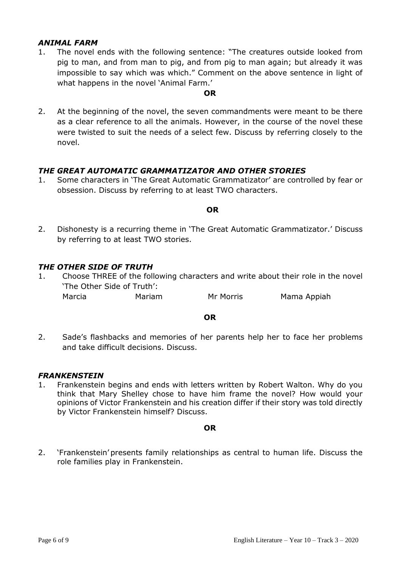## *ANIMAL FARM*

1. The novel ends with the following sentence: "The creatures outside looked from pig to man, and from man to pig, and from pig to man again; but already it was impossible to say which was which." Comment on the above sentence in light of what happens in the novel 'Animal Farm.'

#### **OR**

2. At the beginning of the novel, the seven commandments were meant to be there as a clear reference to all the animals. However, in the course of the novel these were twisted to suit the needs of a select few. Discuss by referring closely to the novel.

## *THE GREAT AUTOMATIC GRAMMATIZATOR AND OTHER STORIES*

1. Some characters in 'The Great Automatic Grammatizator' are controlled by fear or obsession. Discuss by referring to at least TWO characters.

#### **OR**

2. Dishonesty is a recurring theme in 'The Great Automatic Grammatizator.' Discuss by referring to at least TWO stories.

#### *THE OTHER SIDE OF TRUTH*

1. Choose THREE of the following characters and write about their role in the novel 'The Other Side of Truth':

Marcia Mariam Mr Morris Mama Appiah

#### **OR**

2. Sade's flashbacks and memories of her parents help her to face her problems and take difficult decisions. Discuss.

#### *FRANKENSTEIN*

1. Frankenstein begins and ends with letters written by Robert Walton. Why do you think that Mary Shelley chose to have him frame the novel? How would your opinions of Victor Frankenstein and his creation differ if their story was told directly by Victor Frankenstein himself? Discuss.

#### **OR**

2. 'Frankenstein' presents family relationships as central to human life. Discuss the role families play in Frankenstein.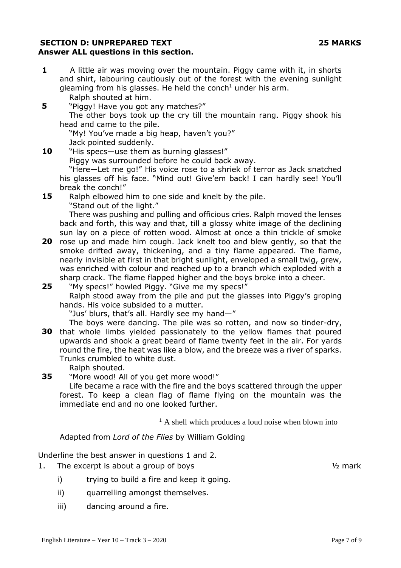#### **SECTION D: UNPREPARED TEXT 25 MARKS Answer ALL questions in this section.**

- **1** A little air was moving over the mountain. Piggy came with it, in shorts and shirt, labouring cautiously out of the forest with the evening sunlight gleaming from his glasses. He held the conch<sup>1</sup> under his arm. Ralph shouted at him.
- **5** "Piggy! Have you got any matches?"

The other boys took up the cry till the mountain rang. Piggy shook his head and came to the pile.

"My! You've made a big heap, haven't you?" Jack pointed suddenly.

**10** "His specs—use them as burning glasses!"

Piggy was surrounded before he could back away.

"Here—Let me go!" His voice rose to a shriek of terror as Jack snatched his glasses off his face. "Mind out! Give'em back! I can hardly see! You'll break the conch!"

**15** Ralph elbowed him to one side and knelt by the pile. "Stand out of the light."

There was pushing and pulling and officious cries. Ralph moved the lenses back and forth, this way and that, till a glossy white image of the declining sun lay on a piece of rotten wood. Almost at once a thin trickle of smoke

**20** rose up and made him cough. Jack knelt too and blew gently, so that the smoke drifted away, thickening, and a tiny flame appeared. The flame, nearly invisible at first in that bright sunlight, enveloped a small twig, grew, was enriched with colour and reached up to a branch which exploded with a sharp crack. The flame flapped higher and the boys broke into a cheer.

**25** "My specs!" howled Piggy. "Give me my specs!" Ralph stood away from the pile and put the glasses into Piggy's groping

hands. His voice subsided to a mutter.

"Jus' blurs, that's all. Hardly see my hand—"

- **30** that whole limbs yielded passionately to the yellow flames that poured The boys were dancing. The pile was so rotten, and now so tinder-dry, upwards and shook a great beard of flame twenty feet in the air. For yards round the fire, the heat was like a blow, and the breeze was a river of sparks. Trunks crumbled to white dust.
	- Ralph shouted.

**35** "More wood! All of you get more wood!"

Life became a race with the fire and the boys scattered through the upper forest. To keep a clean flag of flame flying on the mountain was the immediate end and no one looked further.

<sup>1</sup> A shell which produces a loud noise when blown into

#### Adapted from *Lord of the Flies* by William Golding

Underline the best answer in questions 1 and 2.

- 1. The excerpt is about a group of boys the state of the state of the state of the state of the state of the state of the state of the state of the state of the state of the state of the state of the state of the state of
	- i) trying to build a fire and keep it going.
	- ii) quarrelling amongst themselves.
	- iii) dancing around a fire.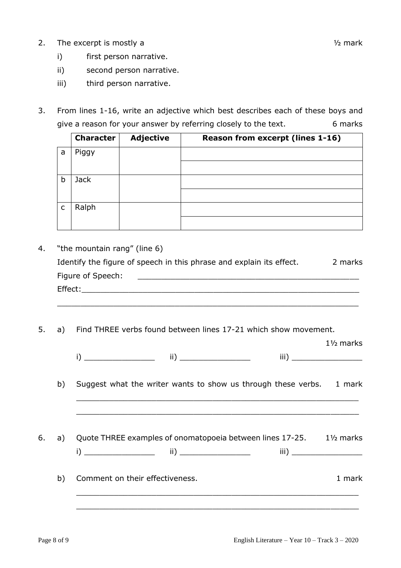2. The excerpt is mostly a  $\frac{1}{2}$  mark

1½ marks

- i) first person narrative.
- ii) second person narrative.
- iii) third person narrative.
- 3. From lines 1-16, write an adjective which best describes each of these boys and give a reason for your answer by referring closely to the text. 6 marks

|              | <b>Character</b> | <b>Adjective</b> | <b>Reason from excerpt (lines 1-16)</b> |
|--------------|------------------|------------------|-----------------------------------------|
| a            | Piggy            |                  |                                         |
|              |                  |                  |                                         |
| b            | <b>Jack</b>      |                  |                                         |
|              |                  |                  |                                         |
| $\mathsf{C}$ | Ralph            |                  |                                         |
|              |                  |                  |                                         |

4. "the mountain rang" (line 6)

| Identify the figure of speech in this phrase and explain its effect. |  |  | 2 marks |
|----------------------------------------------------------------------|--|--|---------|
| Figure of Speech:                                                    |  |  |         |

 $\_$  , and the set of the set of the set of the set of the set of the set of the set of the set of the set of the set of the set of the set of the set of the set of the set of the set of the set of the set of the set of th

Effect:

5. a) Find THREE verbs found between lines 17-21 which show movement.

|--|--|

 $\_$  ,  $\_$  ,  $\_$  ,  $\_$  ,  $\_$  ,  $\_$  ,  $\_$  ,  $\_$  ,  $\_$  ,  $\_$  ,  $\_$  ,  $\_$  ,  $\_$  ,  $\_$  ,  $\_$  ,  $\_$  ,  $\_$  ,  $\_$  ,  $\_$  ,  $\_$ 

 $\_$  , and the contribution of the contribution of  $\mathcal{L}_\mathcal{A}$  , and the contribution of  $\mathcal{L}_\mathcal{A}$  , and the contribution of  $\mathcal{L}_\mathcal{A}$ 

b) Suggest what the writer wants to show us through these verbs. 1 mark

6. a) Quote THREE examples of onomatopoeia between lines 17-25. 1½ marks  $ii)$   $iii)$ 

# b) Comment on their effectiveness. 1 mark

 $\_$  , and the contribution of the contribution of  $\mathcal{L}_\mathcal{A}$  , and the contribution of  $\mathcal{L}_\mathcal{A}$ 

 $\_$  ,  $\_$  ,  $\_$  ,  $\_$  ,  $\_$  ,  $\_$  ,  $\_$  ,  $\_$  ,  $\_$  ,  $\_$  ,  $\_$  ,  $\_$  ,  $\_$  ,  $\_$  ,  $\_$  ,  $\_$  ,  $\_$  ,  $\_$  ,  $\_$  ,  $\_$  ,  $\_$  ,  $\_$  ,  $\_$  ,  $\_$  ,  $\_$  ,  $\_$  ,  $\_$  ,  $\_$  ,  $\_$  ,  $\_$  ,  $\_$  ,  $\_$  ,  $\_$  ,  $\_$  ,  $\_$  ,  $\_$  ,  $\_$  ,